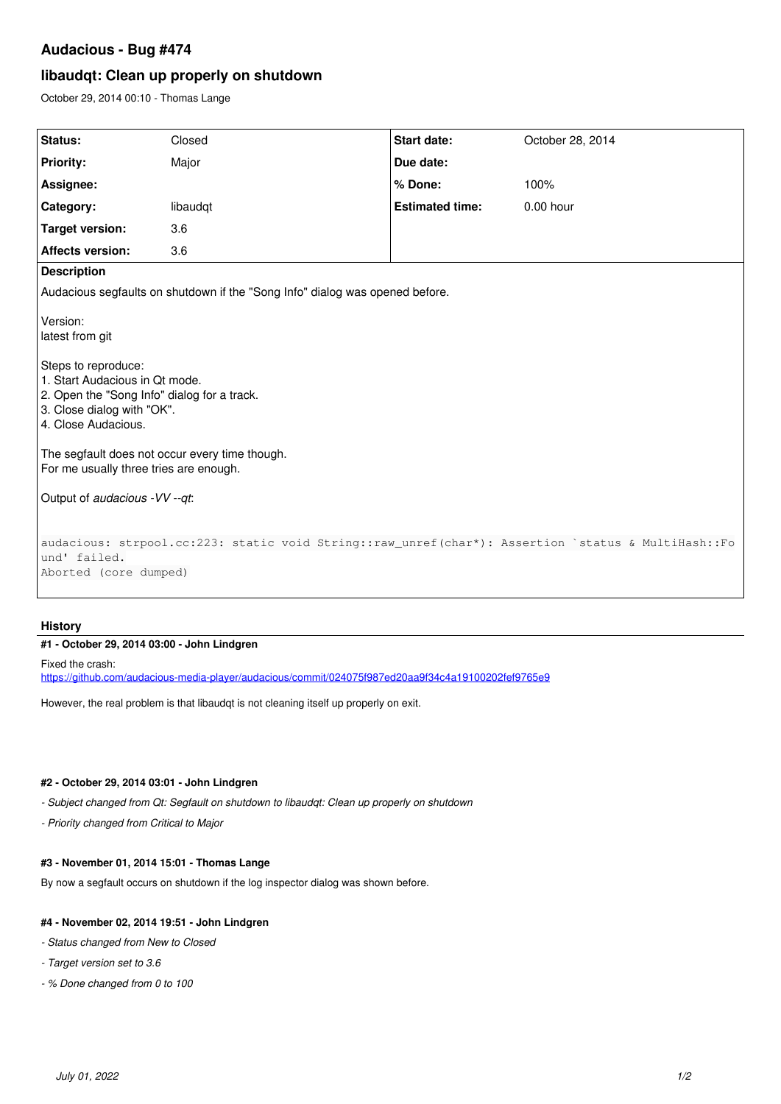## **Audacious - Bug #474**

# **libaudqt: Clean up properly on shutdown**

October 29, 2014 00:10 - Thomas Lange

| Status:                                                                                                                                                                                                                                                                                                                                                                                                                      | Closed   | <b>Start date:</b>     | October 28, 2014 |
|------------------------------------------------------------------------------------------------------------------------------------------------------------------------------------------------------------------------------------------------------------------------------------------------------------------------------------------------------------------------------------------------------------------------------|----------|------------------------|------------------|
| <b>Priority:</b>                                                                                                                                                                                                                                                                                                                                                                                                             | Major    | Due date:              |                  |
| Assignee:                                                                                                                                                                                                                                                                                                                                                                                                                    |          | % Done:                | 100%             |
| Category:                                                                                                                                                                                                                                                                                                                                                                                                                    | libaudqt | <b>Estimated time:</b> | $0.00$ hour      |
| <b>Target version:</b>                                                                                                                                                                                                                                                                                                                                                                                                       | 3.6      |                        |                  |
| <b>Affects version:</b>                                                                                                                                                                                                                                                                                                                                                                                                      | 3.6      |                        |                  |
| <b>Description</b>                                                                                                                                                                                                                                                                                                                                                                                                           |          |                        |                  |
| Audacious segfaults on shutdown if the "Song Info" dialog was opened before.                                                                                                                                                                                                                                                                                                                                                 |          |                        |                  |
| Version:<br>latest from git<br>Steps to reproduce:<br>1. Start Audacious in Qt mode.<br>2. Open the "Song Info" dialog for a track.<br>3. Close dialog with "OK".<br>4. Close Audacious.<br>The segfault does not occur every time though.<br>For me usually three tries are enough.<br>Output of audacious - VV --qt:<br>audacious: strpool.cc:223: static void String::raw_unref(char*): Assertion `status & MultiHash::Fo |          |                        |                  |
| und' failed.                                                                                                                                                                                                                                                                                                                                                                                                                 |          |                        |                  |
| Aborted (core dumped)                                                                                                                                                                                                                                                                                                                                                                                                        |          |                        |                  |

## **History**

#### **#1 - October 29, 2014 03:00 - John Lindgren**

Fixed the crash: <https://github.com/audacious-media-player/audacious/commit/024075f987ed20aa9f34c4a19100202fef9765e9>

However, the real problem is that libaudqt is not cleaning itself up properly on exit.

## **#2 - October 29, 2014 03:01 - John Lindgren**

*- Subject changed from Qt: Segfault on shutdown to libaudqt: Clean up properly on shutdown*

*- Priority changed from Critical to Major*

### **#3 - November 01, 2014 15:01 - Thomas Lange**

By now a segfault occurs on shutdown if the log inspector dialog was shown before.

#### **#4 - November 02, 2014 19:51 - John Lindgren**

*- Status changed from New to Closed*

#### *- Target version set to 3.6*

*- % Done changed from 0 to 100*